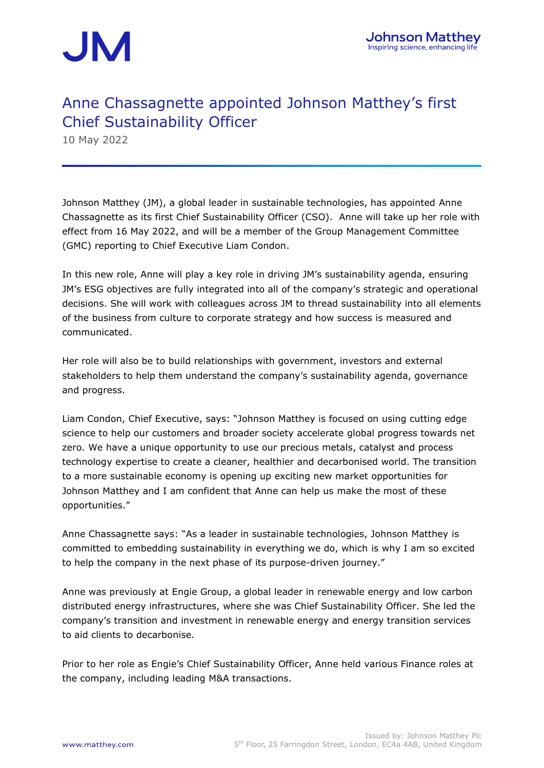

### Anne Chassagnette appointed Johnson Matthey's first Chief Sustainability Officer

10 May 2022

Johnson Matthey (JM), a global leader in sustainable technologies, has appointed Anne Chassagnette as its first Chief Sustainability Officer (CSO). Anne will take up her role with effect from 16 May 2022, and will be a member of the Group Management Committee (GMC) reporting to Chief Executive Liam Condon.

In this new role, Anne will play a key role in driving JM's sustainability agenda, ensuring JM's ESG objectives are fully integrated into all of the company's strategic and operational decisions. She will work with colleagues across JM to thread sustainability into all elements of the business from culture to corporate strategy and how success is measured and communicated.

Her role will also be to build relationships with government, investors and external stakeholders to help them understand the company's sustainability agenda, governance and progress.

Liam Condon, Chief Executive, says: "Johnson Matthey is focused on using cutting edge science to help our customers and broader society accelerate global progress towards net zero. We have a unique opportunity to use our precious metals, catalyst and process technology expertise to create a cleaner, healthier and decarbonised world. The transition to a more sustainable economy is opening up exciting new market opportunities for Johnson Matthey and I am confident that Anne can help us make the most of these opportunities."

Anne Chassagnette says: "As a leader in sustainable technologies, Johnson Matthey is committed to embedding sustainability in everything we do, which is why I am so excited to help the company in the next phase of its purpose-driven journey."

Anne was previously at Engie Group, a global leader in renewable energy and low carbon distributed energy infrastructures, where she was Chief Sustainability Officer. She led the company's transition and investment in renewable energy and energy transition services to aid clients to decarbonise.

Prior to her role as Engie's Chief Sustainability Officer, Anne held various Finance roles at the company, including leading M&A transactions.